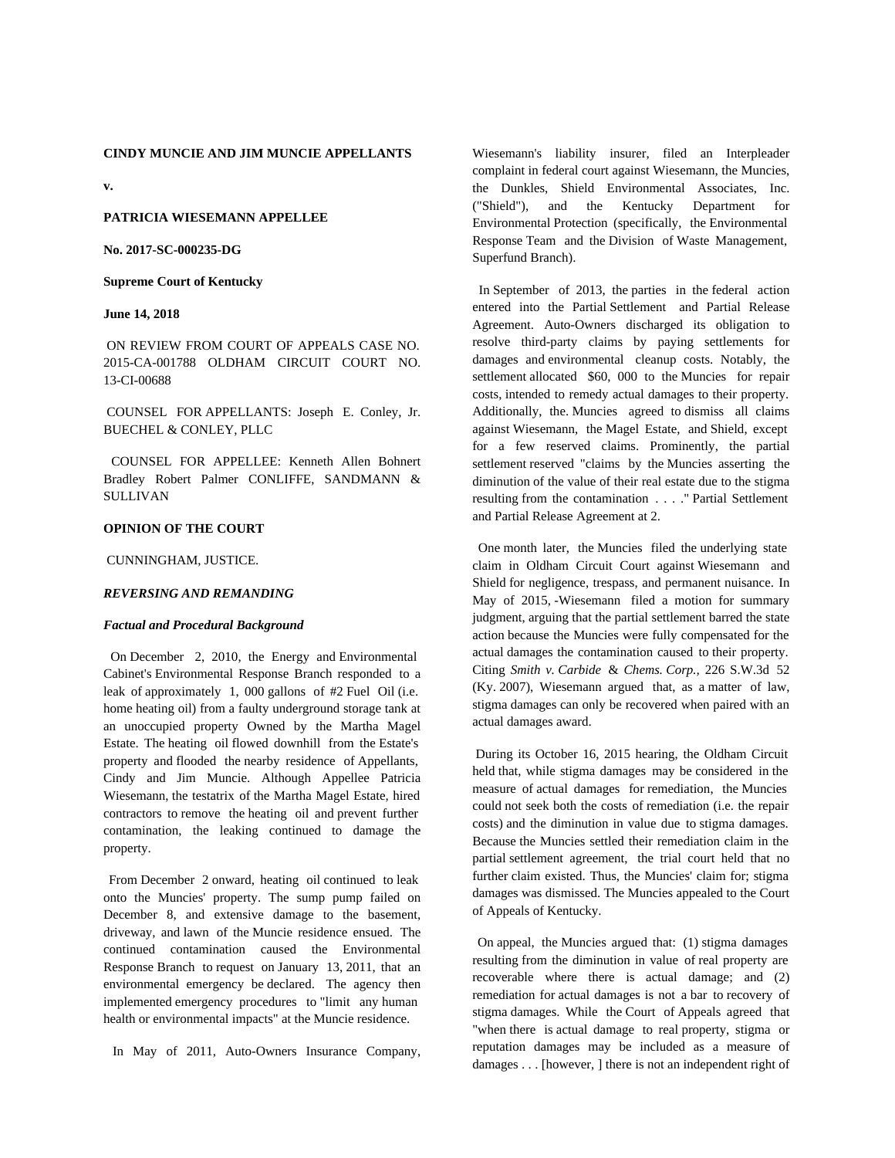**v.**

# **PATRICIA WIESEMANN APPELLEE**

#### **No. 2017-SC-000235-DG**

#### **Supreme Court of Kentucky**

#### **June 14, 2018**

 ON REVIEW FROM COURT OF APPEALS CASE NO. 2015-CA-001788 OLDHAM CIRCUIT COURT NO. 13-CI-00688

 COUNSEL FOR APPELLANTS: Joseph E. Conley, Jr. BUECHEL & CONLEY, PLLC

COUNSEL FOR APPELLEE: Kenneth Allen Bohnert Bradley Robert Palmer CONLIFFE, SANDMANN & SULLIVAN

#### **OPINION OF THE COURT**

#### CUNNINGHAM, JUSTICE.

#### *REVERSING AND REMANDING*

#### *Factual and Procedural Background*

On December 2, 2010, the Energy and Environmental Cabinet's Environmental Response Branch responded to a leak of approximately 1, 000 gallons of #2 Fuel Oil (i.e. home heating oil) from a faulty underground storage tank at an unoccupied property Owned by the Martha Magel Estate. The heating oil flowed downhill from the Estate's property and flooded the nearby residence of Appellants, Cindy and Jim Muncie. Although Appellee Patricia Wiesemann, the testatrix of the Martha Magel Estate, hired contractors to remove the heating oil and prevent further contamination, the leaking continued to damage the property.

From December 2 onward, heating oil continued to leak onto the Muncies' property. The sump pump failed on December 8, and extensive damage to the basement, driveway, and lawn of the Muncie residence ensued. The continued contamination caused the Environmental Response Branch to request on January 13, 2011, that an environmental emergency be declared. The agency then implemented emergency procedures to "limit any human health or environmental impacts" at the Muncie residence.

In May of 2011, Auto-Owners Insurance Company,

Wiesemann's liability insurer, filed an Interpleader complaint in federal court against Wiesemann, the Muncies, the Dunkles, Shield Environmental Associates, Inc. ("Shield"), and the Kentucky Department for Environmental Protection (specifically, the Environmental Response Team and the Division of Waste Management, Superfund Branch).

In September of 2013, the parties in the federal action entered into the Partial Settlement and Partial Release Agreement. Auto-Owners discharged its obligation to resolve third-party claims by paying settlements for damages and environmental cleanup costs. Notably, the settlement allocated \$60, 000 to the Muncies for repair costs, intended to remedy actual damages to their property. Additionally, the. Muncies agreed to dismiss all claims against Wiesemann, the Magel Estate, and Shield, except for a few reserved claims. Prominently, the partial settlement reserved "claims by the Muncies asserting the diminution of the value of their real estate due to the stigma resulting from the contamination . . . ." Partial Settlement and Partial Release Agreement at 2.

One month later, the Muncies filed the underlying state claim in Oldham Circuit Court against Wiesemann and Shield for negligence, trespass, and permanent nuisance. In May of 2015, -Wiesemann filed a motion for summary judgment, arguing that the partial settlement barred the state action because the Muncies were fully compensated for the actual damages the contamination caused to their property. Citing *Smith v. Carbide* & *Chems. Corp.,* 226 S.W.3d 52 (Ky. 2007), Wiesemann argued that, as a matter of law, stigma damages can only be recovered when paired with an actual damages award.

 During its October 16, 2015 hearing, the Oldham Circuit held that, while stigma damages may be considered in the measure of actual damages for remediation, the Muncies could not seek both the costs of remediation (i.e. the repair costs) and the diminution in value due to stigma damages. Because the Muncies settled their remediation claim in the partial settlement agreement, the trial court held that no further claim existed. Thus, the Muncies' claim for; stigma damages was dismissed. The Muncies appealed to the Court of Appeals of Kentucky.

On appeal, the Muncies argued that: (1) stigma damages resulting from the diminution in value of real property are recoverable where there is actual damage; and (2) remediation for actual damages is not a bar to recovery of stigma damages. While the Court of Appeals agreed that "when there is actual damage to real property, stigma or reputation damages may be included as a measure of damages . . . [however, ] there is not an independent right of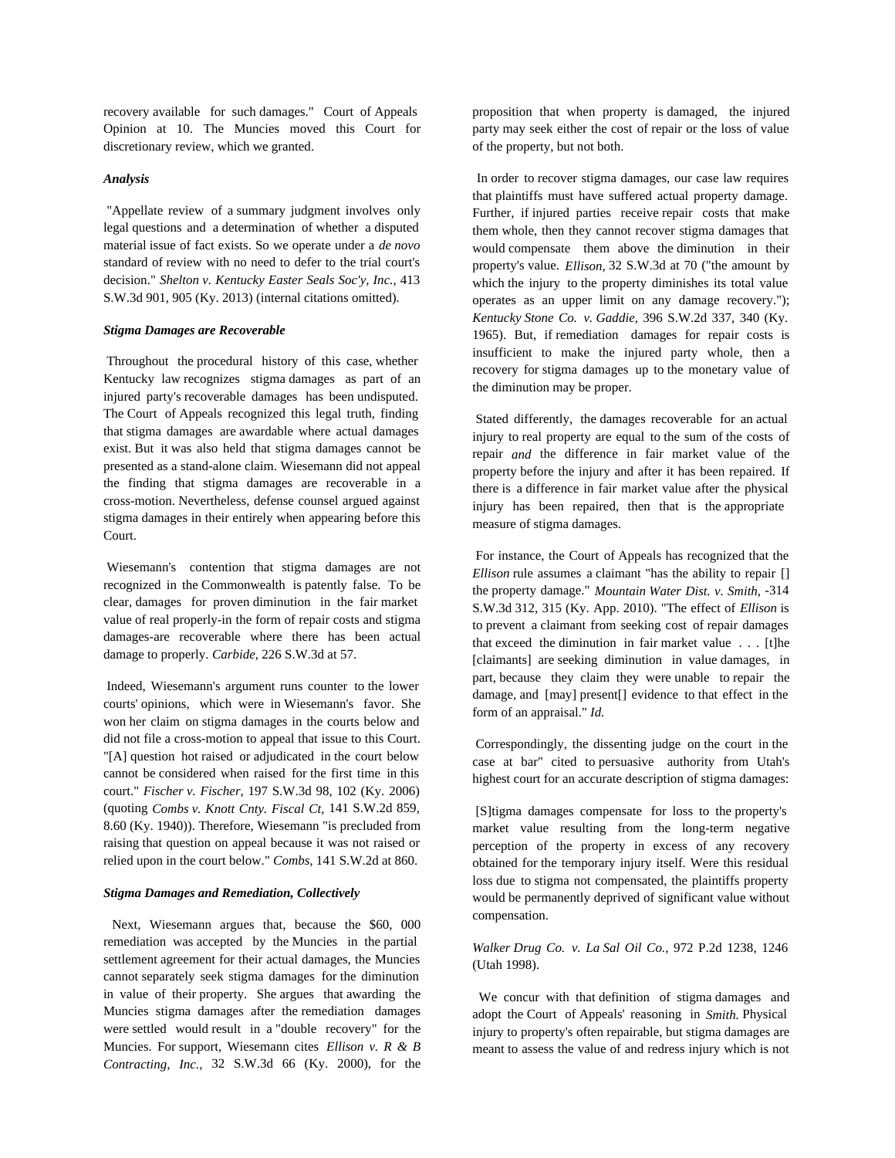recovery available for such damages." Court of Appeals Opinion at 10. The Muncies moved this Court for discretionary review, which we granted.

# *Analysis*

 "Appellate review of a summary judgment involves only legal questions and a determination of whether a disputed material issue of fact exists. So we operate under a *de novo* standard of review with no need to defer to the trial court's decision." *Shelton v. Kentucky Easter Seals Soc'y, Inc.,* 413 S.W.3d 901, 905 (Ky. 2013) (internal citations omitted).

## *Stigma Damages are Recoverable*

 Throughout the procedural history of this case, whether Kentucky law recognizes stigma damages as part of an injured party's recoverable damages has been undisputed. The Court of Appeals recognized this legal truth, finding that stigma damages are awardable where actual damages exist. But it was also held that stigma damages cannot be presented as a stand-alone claim. Wiesemann did not appeal the finding that stigma damages are recoverable in a cross-motion. Nevertheless, defense counsel argued against stigma damages in their entirely when appearing before this Court.

 Wiesemann's contention that stigma damages are not recognized in the Commonwealth is patently false. To be clear, damages for proven diminution in the fair market value of real properly-in the form of repair costs and stigma damages-are recoverable where there has been actual damage to properly. *Carbide,* 226 S.W.3d at 57.

 Indeed, Wiesemann's argument runs counter to the lower courts' opinions, which were in Wiesemann's favor. She won her claim on stigma damages in the courts below and did not file a cross-motion to appeal that issue to this Court. "[A] question hot raised or adjudicated in the court below cannot be considered when raised for the first time in this court." *Fischer v. Fischer,* 197 S.W.3d 98, 102 (Ky. 2006) (quoting *Combs v. Knott Cnty. Fiscal Ct,* 141 S.W.2d 859, 8.60 (Ky. 1940)). Therefore, Wiesemann "is precluded from raising that question on appeal because it was not raised or relied upon in the court below." *Combs,* 141 S.W.2d at 860.

# *Stigma Damages and Remediation, Collectively*

Next, Wiesemann argues that, because the \$60, 000 remediation was accepted by the Muncies in the partial settlement agreement for their actual damages, the Muncies cannot separately seek stigma damages for the diminution in value of their property. She argues that awarding the Muncies stigma damages after the remediation damages were settled would result in a "double recovery" for the Muncies. For support, Wiesemann cites *Ellison v. R & B Contracting, Inc.,* 32 S.W.3d 66 (Ky. 2000), for the proposition that when property is damaged, the injured party may seek either the cost of repair or the loss of value of the property, but not both.

In order to recover stigma damages, our case law requires that plaintiffs must have suffered actual property damage. Further, if injured parties receive repair costs that make them whole, then they cannot recover stigma damages that would compensate them above the diminution in their property's value. *Ellison,* 32 S.W.3d at 70 ("the amount by which the injury to the property diminishes its total value operates as an upper limit on any damage recovery."); *Kentucky Stone Co. v. Gaddie,* 396 S.W.2d 337, 340 (Ky. 1965). But, if remediation damages for repair costs is insufficient to make the injured party whole, then a recovery for stigma damages up to the monetary value of the diminution may be proper.

 Stated differently, the damages recoverable for an actual injury to real property are equal to the sum of the costs of repair *and* the difference in fair market value of the property before the injury and after it has been repaired. If there is a difference in fair market value after the physical injury has been repaired, then that is the appropriate measure of stigma damages.

 For instance, the Court of Appeals has recognized that the *Ellison* rule assumes a claimant "has the ability to repair [] the property damage." *Mountain Water Dist. v. Smith,* -314 S.W.3d 312, 315 (Ky. App. 2010). "The effect of *Ellison* is to prevent a claimant from seeking cost of repair damages that exceed the diminution in fair market value . . . [t]he [claimants] are seeking diminution in value damages, in part, because they claim they were unable to repair the damage, and [may] present[] evidence to that effect in the form of an appraisal." *Id.*

 Correspondingly, the dissenting judge on the court in the case at bar" cited to persuasive authority from Utah's highest court for an accurate description of stigma damages:

 [S]tigma damages compensate for loss to the property's market value resulting from the long-term negative perception of the property in excess of any recovery obtained for the temporary injury itself. Were this residual loss due to stigma not compensated, the plaintiffs property would be permanently deprived of significant value without compensation.

*Walker Drug Co. v. La Sal Oil Co.,* 972 P.2d 1238, 1246 (Utah 1998).

We concur with that definition of stigma damages and adopt the Court of Appeals' reasoning in *Smith.* Physical injury to property's often repairable, but stigma damages are meant to assess the value of and redress injury which is not